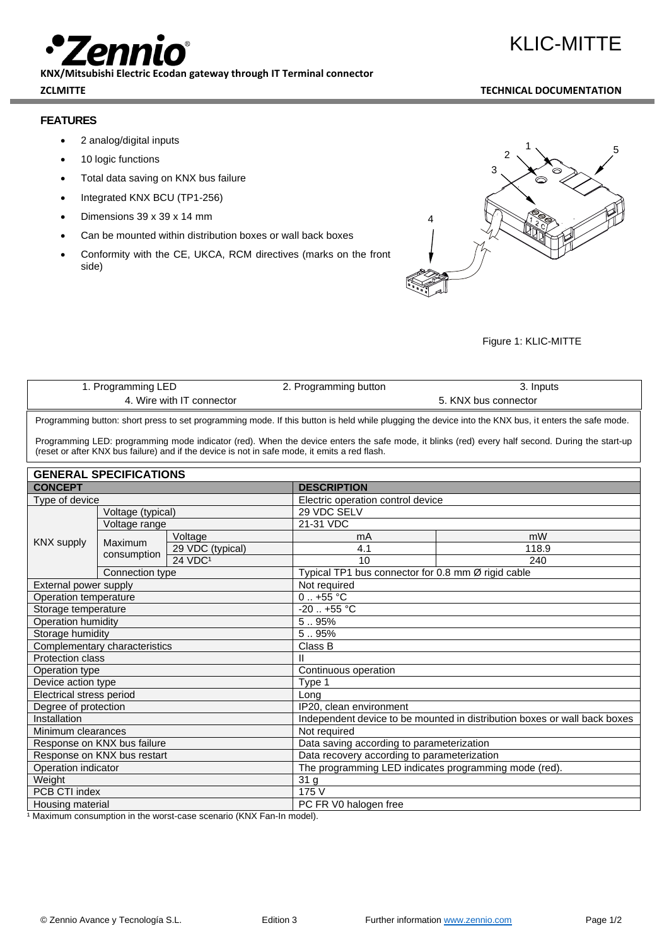**KNX/Mitsubishi Electric Ecodan gateway through IT Terminal connector** 

# **ZCLMITTE TECHNICAL DOCUMENTATION**

KLIC-MITTE

# **FEATURES**

- 2 analog/digital inputs
- 10 logic functions
- Total data saving on KNX bus failure
- Integrated KNX BCU (TP1-256)
- Dimensions 39 x 39 x 14 mm
- Can be mounted within distribution boxes or wall back boxes
- Conformity with the CE, UKCA, RCM directives (marks on the front side)



# Figure 1: KLIC-MITTE

| 1. Programming LED        | 2. Programming button | 3. Inputs            |
|---------------------------|-----------------------|----------------------|
| 4. Wire with IT connector |                       | 5. KNX bus connector |
|                           |                       |                      |

Programming button: short press to set programming mode. If this button is held while plugging the device into the KNX bus, it enters the safe mode.

Programming LED: programming mode indicator (red). When the device enters the safe mode, it blinks (red) every half second. During the start-up (reset or after KNX bus failure) and if the device is not in safe mode, it emits a red flash.

| <b>GENERAL SPECIFICATIONS</b> |                        |                                                                           |                                                    |       |  |
|-------------------------------|------------------------|---------------------------------------------------------------------------|----------------------------------------------------|-------|--|
| <b>CONCEPT</b>                |                        | <b>DESCRIPTION</b>                                                        |                                                    |       |  |
| Type of device                |                        | Electric operation control device                                         |                                                    |       |  |
| <b>KNX supply</b>             | Voltage (typical)      |                                                                           | 29 VDC SELV                                        |       |  |
|                               | Voltage range          |                                                                           | 21-31 VDC                                          |       |  |
|                               | Maximum<br>consumption | Voltage                                                                   | mA                                                 | mW    |  |
|                               |                        | 29 VDC (typical)                                                          | 4.1                                                | 118.9 |  |
|                               |                        | <b>24 VDC1</b>                                                            | 10                                                 | 240   |  |
|                               | Connection type        |                                                                           | Typical TP1 bus connector for 0.8 mm Ø rigid cable |       |  |
| External power supply         |                        |                                                                           | Not required                                       |       |  |
| Operation temperature         |                        |                                                                           | $0.1 + 55$ °C                                      |       |  |
| Storage temperature           |                        |                                                                           | $-20$ $+55^{\circ}$ C                              |       |  |
| Operation humidity            |                        | 5.95%                                                                     |                                                    |       |  |
| Storage humidity              |                        | 5.95%                                                                     |                                                    |       |  |
| Complementary characteristics |                        |                                                                           | Class B                                            |       |  |
| <b>Protection class</b>       |                        | Ш                                                                         |                                                    |       |  |
| Operation type                |                        | Continuous operation                                                      |                                                    |       |  |
| Device action type            |                        | Type 1                                                                    |                                                    |       |  |
| Electrical stress period      |                        | Long                                                                      |                                                    |       |  |
| Degree of protection          |                        | IP20, clean environment                                                   |                                                    |       |  |
| Installation                  |                        | Independent device to be mounted in distribution boxes or wall back boxes |                                                    |       |  |
| Minimum clearances            |                        | Not required                                                              |                                                    |       |  |
| Response on KNX bus failure   |                        | Data saving according to parameterization                                 |                                                    |       |  |
| Response on KNX bus restart   |                        | Data recovery according to parameterization                               |                                                    |       |  |
| Operation indicator           |                        | The programming LED indicates programming mode (red).                     |                                                    |       |  |
| Weight                        |                        | 31 g                                                                      |                                                    |       |  |
| PCB CTI index                 |                        | 175 V                                                                     |                                                    |       |  |
| Housing material              |                        | PC FR V0 halogen free                                                     |                                                    |       |  |

<sup>1</sup> Maximum consumption in the worst-case scenario (KNX Fan-In model).